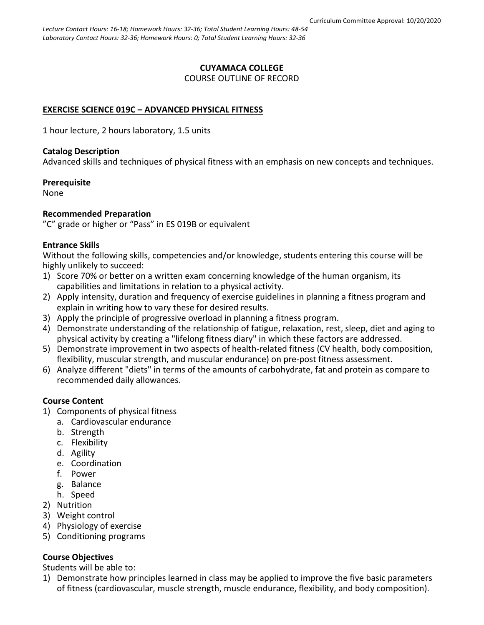### **CUYAMACA COLLEGE** COURSE OUTLINE OF RECORD

# **EXERCISE SCIENCE 019C – ADVANCED PHYSICAL FITNESS**

1 hour lecture, 2 hours laboratory, 1.5 units

### **Catalog Description**

Advanced skills and techniques of physical fitness with an emphasis on new concepts and techniques.

**Prerequisite**

None

### **Recommended Preparation**

"C" grade or higher or "Pass" in ES 019B or equivalent

### **Entrance Skills**

Without the following skills, competencies and/or knowledge, students entering this course will be highly unlikely to succeed:

- 1) Score 70% or better on a written exam concerning knowledge of the human organism, its capabilities and limitations in relation to a physical activity.
- 2) Apply intensity, duration and frequency of exercise guidelines in planning a fitness program and explain in writing how to vary these for desired results.
- 3) Apply the principle of progressive overload in planning a fitness program.
- 4) Demonstrate understanding of the relationship of fatigue, relaxation, rest, sleep, diet and aging to physical activity by creating a "lifelong fitness diary" in which these factors are addressed.
- 5) Demonstrate improvement in two aspects of health-related fitness (CV health, body composition, flexibility, muscular strength, and muscular endurance) on pre-post fitness assessment.
- 6) Analyze different "diets" in terms of the amounts of carbohydrate, fat and protein as compare to recommended daily allowances.

# **Course Content**

- 1) Components of physical fitness
	- a. Cardiovascular endurance
	- b. Strength
	- c. Flexibility
	- d. Agility
	- e. Coordination
	- f. Power
	- g. Balance
	- h. Speed
- 2) Nutrition
- 3) Weight control
- 4) Physiology of exercise
- 5) Conditioning programs

# **Course Objectives**

Students will be able to:

1) Demonstrate how principles learned in class may be applied to improve the five basic parameters of fitness (cardiovascular, muscle strength, muscle endurance, flexibility, and body composition).